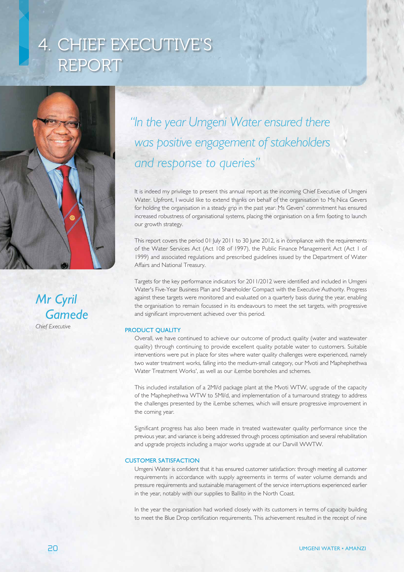# 4. CHIEF EXECUTIVE'S REPORT



*Mr Cyril Gamede Chief Executive*

# *"In the year Umgeni Water ensured there was positive engagement of stakeholders and response to queries"*

It is indeed my privilege to present this annual report as the incoming Chief Executive of Umgeni Water. Upfront, I would like to extend thanks on behalf of the organisation to Ms Nica Gevers for holding the organisation in a steady grip in the past year. Ms Gevers' commitment has ensured increased robustness of organisational systems, placing the organisation on a firm footing to launch our growth strategy.

This report covers the period 01 July 2011 to 30 June 2012, is in compliance with the requirements of the Water Services Act (Act 108 of 1997), the Public Finance Management Act (Act 1 of 1999) and associated regulations and prescribed guidelines issued by the Department of Water Affairs and National Treasury.

Targets for the key performance indicators for 2011/2012 were identified and included in Umgeni Water's Five-Year Business Plan and Shareholder Compact with the Executive Authority. Progress against these targets were monitored and evaluated on a quarterly basis during the year, enabling the organisation to remain focussed in its endeavours to meet the set targets, with progressive and significant improvement achieved over this period.

# PRODUCT QUALITY

Overall, we have continued to achieve our outcome of product quality (water and wastewater quality) through continuing to provide excellent quality potable water to customers. Suitable interventions were put in place for sites where water quality challenges were experienced, namely two water treatment works, falling into the medium-small category, our Mvoti and Maphephethwa Water Treatment Works', as well as our iLembe boreholes and schemes.

This included installation of a 2Ml/d package plant at the Mvoti WTW, upgrade of the capacity of the Maphephethwa WTW to 5Ml/d, and implementation of a turnaround strategy to address the challenges presented by the iLembe schemes, which will ensure progressive improvement in the coming year.

Significant progress has also been made in treated wastewater quality performance since the previous year, and variance is being addressed through process optimisation and several rehabilitation and upgrade projects including a major works upgrade at our Darvill WWTW.

### CUSTOMER SATISFACTION

Umgeni Water is confident that it has ensured customer satisfaction: through meeting all customer requirements in accordance with supply agreements in terms of water volume demands and pressure requirements and sustainable management of the service interruptions experienced earlier in the year, notably with our supplies to Ballito in the North Coast.

In the year the organisation had worked closely with its customers in terms of capacity building to meet the Blue Drop certification requirements. This achievement resulted in the receipt of nine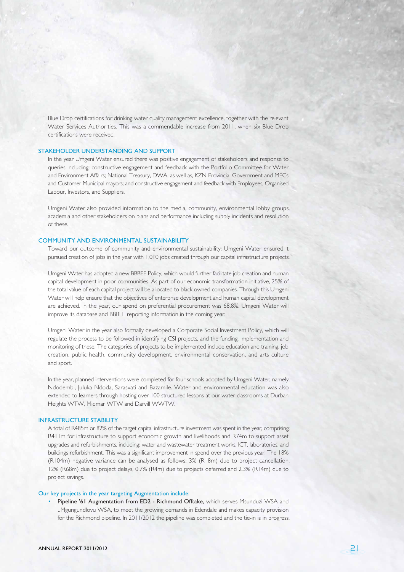Blue Drop certifications for drinking water quality management excellence, together with the relevant Water Services Authorities. This was a commendable increase from 2011, when six Blue Drop certifications were received.

#### STAKEHOLDER UNDERSTANDING AND SUPPORT

In the year Umgeni Water ensured there was positive engagement of stakeholders and response to queries including: constructive engagement and feedback with the Portfolio Committee for Water and Environment Affairs; National Treasury, DWA, as well as, KZN Provincial Government and MECs and Customer Municipal mayors; and constructive engagement and feedback with Employees, Organised Labour, Investors, and Suppliers.

Umgeni Water also provided information to the media, community, environmental lobby groups, academia and other stakeholders on plans and performance including supply incidents and resolution of these.

## COMMUNITY AND ENVIRONMENTAL SUSTAINABILITY

Toward our outcome of community and environmental sustainability: Umgeni Water ensured it pursued creation of jobs in the year with 1,010 jobs created through our capital infrastructure projects.

Umgeni Water has adopted a new BBBEE Policy, which would further facilitate job creation and human capital development in poor communities. As part of our economic transformation initiative, 25% of the total value of each capital project will be allocated to black owned companies. Through this Umgeni Water will help ensure that the objectives of enterprise development and human capital development are achieved. In the year, our spend on preferential procurement was 68.8%. Umgeni Water will improve its database and BBBEE reporting information in the coming year.

Umgeni Water in the year also formally developed a Corporate Social Investment Policy, which will regulate the process to be followed in identifying CSI projects, and the funding, implementation and monitoring of these. The categories of projects to be implemented include education and training, job creation, public health, community development, environmental conservation, and arts culture and sport.

In the year, planned interventions were completed for four schools adopted by Umgeni Water, namely, Ndodembi, Juluka Ndoda, Sarasvati and Bazamile. Water and environmental education was also extended to learners through hosting over 100 structured lessons at our water classrooms at Durban Heights WTW, Midmar WTW and Darvill WWTW.

### INFRASTRUCTURE STABILITY

A total of R485m or 82% of the target capital infrastructure investment was spent in the year, comprising: R411m for infrastructure to support economic growth and livelihoods and R74m to support asset upgrades and refurbishments, including: water and wastewater treatment works, ICT, laboratories, and buildings refurbishment. This was a significant improvement in spend over the previous year. The 18% (R104m) negative variance can be analysed as follows: 3% (R18m) due to project cancellation, 12% (R68m) due to project delays, 0.7% (R4m) due to projects deferred and 2.3% (R14m) due to project savings.

#### Our key projects in the year targeting Augmentation include:

Pipeline '61 Augmentation from ED2 - Richmond Offtake, which serves Msunduzi WSA and uMgungundlovu WSA, to meet the growing demands in Edendale and makes capacity provision for the Richmond pipeline. In 2011/2012 the pipeline was completed and the tie-in is in progress.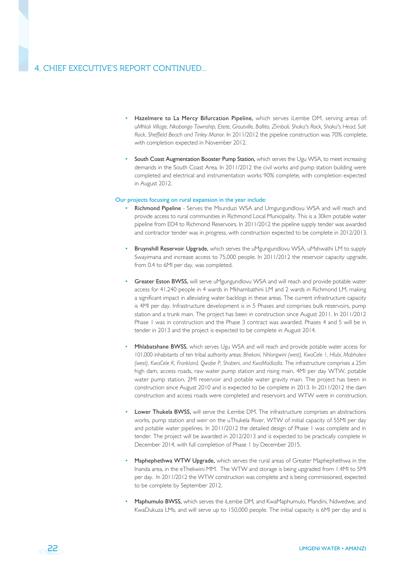# 4. CHIEF EXECUTIVE'S REPORT CONTINUED...

- Hazelmere to La Mercy Bifurcation Pipeline, which serves iLembe DM, serving areas of: *uMhlali Village, Nkobongo Township, Etete, Groutville, Ballito, Zimbali, Shaka's Rock, Shaka's Head, Salt Rock, Sheffield Beach and Tinley Manor.* In 2011/2012 the pipeline construction was 70% complete, with completion expected in November 2012.
- South Coast Augmentation Booster Pump Station, which serves the Ugu WSA, to meet increasing demands in the South Coast Area. In 2011/2012 the civil works and pump station building were completed and electrical and instrumentation works 90% complete, with completion expected in August 2012.

#### Our projects focusing on rural expansion in the year include:

- Richmond Pipeline Serves the Msunduzi WSA and Umgungundlovu WSA and will reach and provide access to rural communities in Richmond Local Municipality. This is a 30km potable water pipeline from ED4 to Richmond Reservoirs. In 2011/2012 the pipeline supply tender was awarded and contractor tender was in progress, with construction expected to be complete in 2012/2013.
- Bruynshill Reservoir Upgrade, which serves the uMgungundlovu WSA, uMshwathi LM to supply Swayimana and increase access to 75,000 people. In 2011/2012 the reservoir capacity upgrade, from 0.4 to 6Ml per day, was completed.
- Greater Eston BWSS, will serve uMgungundlovu WSA and will reach and provide potable water access for 41,240 people in 4 wards in Mkhambathini LM and 2 wards in Richmond LM, making a significant impact in alleviating water backlogs in these areas. The current infrastructure capacity is 4Ml per day. Infrastructure development is in 5 Phases and comprises bulk reservoirs, pump station and a trunk main. The project has been in construction since August 2011. In 2011/2012 Phase 1 was in construction and the Phase 3 contract was awarded. Phases 4 and 5 will be in tender in 2013 and the project is expected to be complete in August 2014.
- Mhlabatshane BWSS, which serves Ugu WSA and will reach and provide potable water access for 101,000 inhabitants of ten tribal authority areas: *Bhekani, Nhlangwini (west), KwaCele 1, Hlubi, Mabhaleni (west), KwaCele K, Frankland, Qwabe P, Shabeni, and KwaMadladla.* The infrastructure comprises a 25m high dam, access roads, raw water pump station and rising main, 4Ml per day WTW, potable water pump station, 2Ml reservoir and potable water gravity main. The project has been in construction since August 2010 and is expected to be complete in 2013. In 2011/2012 the dam construction and access roads were completed and reservoirs and WTW were in construction.
- Lower Thukela BWSS, will serve the iLembe DM. The infrastructure comprises an abstractions works, pump station and weir on the uThukela River, WTW of initial capacity of 55Ml per day and potable water pipelines. In 2011/2012 the detailed design of Phase 1 was complete and in tender. The project will be awarded in 2012/2013 and is expected to be practically complete in December 2014, with full completion of Phase 1 by December 2015.
- Maphephethwa WTW Upgrade, which serves the rural areas of Greater Maphephethwa in the Inanda area, in the eThekwini MM. The WTW and storage is being upgraded from 1.4Ml to 5Ml per day. In 2011/2012 the WTW construction was complete and is being commissioned, expected to be complete by September 2012.
- Maphumulo BWSS, which serves the iLembe DM, and KwaMaphumulo, Mandini, Ndwedwe, and KwaDukuza LMs, and will serve up to 150,000 people. The initial capacity is 6Ml per day and is

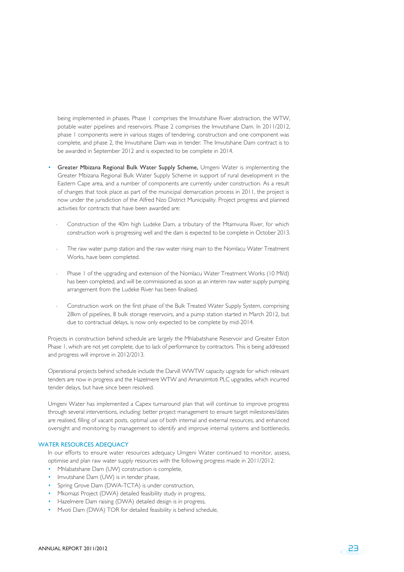being implemented in phases. Phase 1 comprises the Imvutshane River abstraction, the WTW, potable water pipelines and reservoirs. Phase 2 comprises the Imvutshane Dam. In 2011/2012, phase 1 components were in various stages of tendering, construction and one component was complete, and phase 2, the Imvutshane Dam was in tender. The Imvutshane Dam contract is to be awarded in September 2012 and is expected to be complete in 2014.

- Greater Mbizana Regional Bulk Water Supply Scheme, Umgeni Water is implementing the Greater Mbizana Regional Bulk Water Supply Scheme in support of rural development in the Eastern Cape area, and a number of components are currently under construction. As a result of changes that took place as part of the municipal demarcation process in 2011, the project is now under the jurisdiction of the Alfred Nzo District Municipality. Project progress and planned activities for contracts that have been awarded are:
	- Construction of the 40m high Ludeke Dam, a tributary of the Mtamvuna River, for which construction work is progressing well and the dam is expected to be complete in October 2013.
	- The raw water pump station and the raw water rising main to the Nomlacu Water Treatment Works, have been completed.
	- Phase 1 of the upgrading and extension of the Nomlacu Water Treatment Works (10 MI/d) has been completed, and will be commissioned as soon as an interim raw water supply pumping arrangement from the Ludeke River has been finalised.
	- Construction work on the first phase of the Bulk Treated Water Supply System, comprising 28km of pipelines, 8 bulk storage reservoirs, and a pump station started in March 2012, but due to contractual delays, is now only expected to be complete by mid-2014.

Projects in construction behind schedule are largely the Mhlabatshane Reservoir and Greater Eston Phase 1, which are not yet complete, due to lack of performance by contractors. This is being addressed and progress will improve in 2012/2013.

Operational projects behind schedule include the Darvill WWTW capacity upgrade for which relevant tenders are now in progress and the Hazelmere WTW and Amanzimtoti PLC upgrades, which incurred tender delays, but have since been resolved.

Umgeni Water has implemented a Capex turnaround plan that will continue to improve progress through several interventions, including: better project management to ensure target milestones/dates are realised, filling of vacant posts, optimal use of both internal and external resources, and enhanced oversight and monitoring by management to identify and improve internal systems and bottlenecks.

## WATER RESOURCES ADEOUACY

In our efforts to ensure water resources adequacy Umgeni Water continued to monitor, assess, optimise and plan raw water supply resources with the following progress made in 2011/2012:

- Mhlabatshane Dam (UW) construction is complete,
- Imvutshane Dam (UW) is in tender phase,
- Spring Grove Dam (DWA-TCTA) is under construction,
- Mkomazi Project (DWA) detailed feasibility study in progress,
- Hazelmere Dam raising (DWA) detailed design is in progress,
- Mvoti Dam (DWA) TOR for detailed feasibility is behind schedule,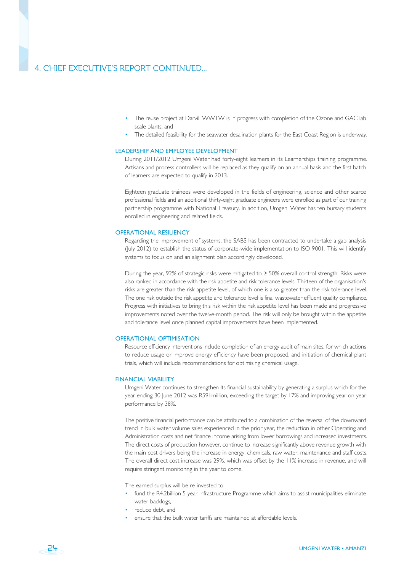# 4. CHIEF EXECUTIVE'S REPORT CONTINUED...

- The reuse project at Darvill WWTW is in progress with completion of the Ozone and GAC lab scale plants, and
- The detailed feasibility for the seawater desalination plants for the East Coast Region is underway.

#### LEADERSHIP AND EMPLOYEE DEVELOPMENT

During 2011/2012 Umgeni Water had forty-eight learners in its Learnerships training programme. Artisans and process controllers will be replaced as they qualify on an annual basis and the first batch of learners are expected to qualify in 2013.

Eighteen graduate trainees were developed in the fields of engineering, science and other scarce professional fields and an additional thirty-eight graduate engineers were enrolled as part of our training partnership programme with National Treasury. In addition, Umgeni Water has ten bursary students enrolled in engineering and related fields.

#### OPERATIONAL RESILIENCY

Regarding the improvement of systems, the SABS has been contracted to undertake a gap analysis (July 2012) to establish the status of corporate-wide implementation to ISO 9001. This will identify systems to focus on and an alignment plan accordingly developed.

During the year, 92% of strategic risks were mitigated to ≥ 50% overall control strength. Risks were also ranked in accordance with the risk appetite and risk tolerance levels. Thirteen of the organisation's risks are greater than the risk appetite level, of which one is also greater than the risk tolerance level. The one risk outside the risk appetite and tolerance level is final wastewater effluent quality compliance. Progress with initiatives to bring this risk within the risk appetite level has been made and progressive improvements noted over the twelve-month period. The risk will only be brought within the appetite and tolerance level once planned capital improvements have been implemented.

# OPERATIONAL OPTIMISATION

Resource efficiency interventions include completion of an energy audit of main sites, for which actions to reduce usage or improve energy efficiency have been proposed, and initiation of chemical plant trials, which will include recommendations for optimising chemical usage.

#### FINANCIAL VIABILITY

Umgeni Water continues to strengthen its financial sustainability by generating a surplus which for the year ending 30 June 2012 was R591million, exceeding the target by 17% and improving year on year performance by 38%.

The positive financial performance can be attributed to a combination of the reversal of the downward trend in bulk water volume sales experienced in the prior year, the reduction in other Operating and Administration costs and net finance income arising from lower borrowings and increased investments. The direct costs of production however, continue to increase significantly above revenue growth with the main cost drivers being the increase in energy, chemicals, raw water, maintenance and staff costs. The overall direct cost increase was 29%, which was offset by the 11% increase in revenue, and will require stringent monitoring in the year to come.

The earned surplus will be re-invested to:

- fund the R4.2billion 5 year Infrastructure Programme which aims to assist municipalities eliminate water backlogs,
- reduce debt, and
- ensure that the bulk water tariffs are maintained at affordable levels.